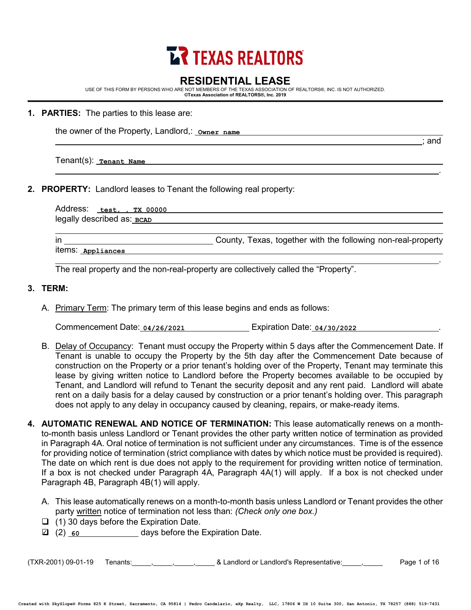# **LR TEXAS REALTORS**

# **RESIDENTIAL LEASE**

USE OF THIS FORM BY PERSONS WHO ARE NOT MEMBERS OF THE TEXAS ASSOCIATION OF REALTORS®, INC. IS NOT AUTHORIZED. **©Texas Association of REALTORS®, Inc. 2019**

**1. PARTIES:** The parties to this lease are:

the owner of the Property, Landlord,: **Owner name**

Tenant(s): **Tenant Name**

**2. PROPERTY:** Landlord leases to Tenant the following real property:

Address: **test, , TX 00000** legally described as:<u>\_всѧљ</u>

; and

.

in County, Texas, together with the following non-real-property items: **Appliances** .

The real property and the non-real-property are collectively called the "Property".

# **3. TERM:**

A. Primary Term: The primary term of this lease begins and ends as follows:

Commencement Date: 04/26/2021 **1998 Expiration Date: 04/30/2022** 2022 2022 2022 2022

- B. Delay of Occupancy: Tenant must occupy the Property within 5 days after the Commencement Date. If Tenant is unable to occupy the Property by the 5th day after the Commencement Date because of construction on the Property or a prior tenant's holding over of the Property, Tenant may terminate this lease by giving written notice to Landlord before the Property becomes available to be occupied by Tenant, and Landlord will refund to Tenant the security deposit and any rent paid. Landlord will abate rent on a daily basis for a delay caused by construction or a prior tenant's holding over. This paragraph does not apply to any delay in occupancy caused by cleaning, repairs, or make-ready items.
- **4. AUTOMATIC RENEWAL AND NOTICE OF TERMINATION:** This lease automatically renews on a monthto-month basis unless Landlord or Tenant provides the other party written notice of termination as provided in Paragraph 4A. Oral notice of termination is not sufficient under any circumstances. Time is of the essence for providing notice of termination (strict compliance with dates by which notice must be provided is required). The date on which rent is due does not apply to the requirement for providing written notice of termination. If a box is not checked under Paragraph 4A, Paragraph 4A(1) will apply. If a box is not checked under Paragraph 4B, Paragraph 4B(1) will apply.
	- A. This lease automatically renews on a month-to-month basis unless Landlord or Tenant provides the other party written notice of termination not less than: *(Check only one box.)*
	- $\Box$  (1) 30 days before the Expiration Date.
	- (2) days before the Expiration Date. <sup>3</sup> **60**

(TXR-2001) 09-01-19 Tenants:\_\_\_\_\_,\_\_\_\_\_,\_\_\_\_\_,\_\_\_\_\_ & Landlord or Landlord's Representative:\_\_\_\_\_,\_\_\_\_\_ Page 1 of 16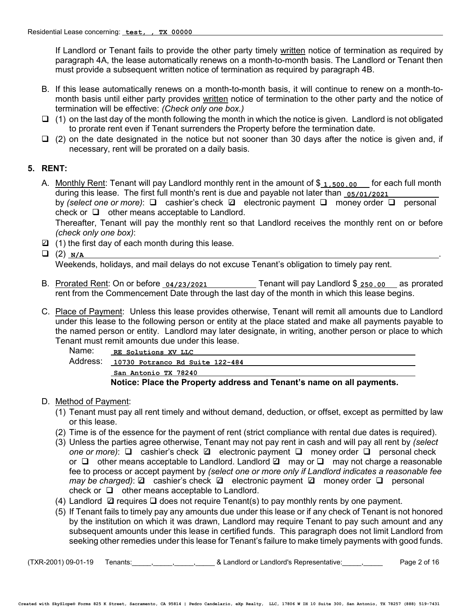If Landlord or Tenant fails to provide the other party timely written notice of termination as required by paragraph 4A, the lease automatically renews on a month-to-month basis. The Landlord or Tenant then must provide a subsequent written notice of termination as required by paragraph 4B.

- B. If this lease automatically renews on a month-to-month basis, it will continue to renew on a month-tomonth basis until either party provides written notice of termination to the other party and the notice of termination will be effective: *(Check only one box.)*
- $\Box$  (1) on the last day of the month following the month in which the notice is given. Landlord is not obligated to prorate rent even if Tenant surrenders the Property before the termination date.
- $\Box$  (2) on the date designated in the notice but not sooner than 30 days after the notice is given and, if necessary, rent will be prorated on a daily basis.

## **5. RENT:**

A. Monthly Rent: Tenant will pay Landlord monthly rent in the amount of \$**1,500.00** for each full month during this lease. The first full month's rent is due and payable not later than **05/01/2021** by *(select one or more)*:  $\square$  cashier's check  $\square$  electronic payment  $\square$  money order  $\square$  personal check or  $\Box$  other means acceptable to Landlord.

Thereafter, Tenant will pay the monthly rent so that Landlord receives the monthly rent on or before *(check only one box)*:

- $\Box$  (1) the first day of each month during this lease.
- $\Box$  (2)  $_{N/A}$  $\Box$  (2)  $N/A$

Weekends, holidays, and mail delays do not excuse Tenant's obligation to timely pay rent.

- B. Prorated Rent: On or before  $\frac{04}{23}{2021}$  Tenant will pay Landlord \$  $\frac{250.00}{250.00}$  as prorated rent from the Commencement Date through the last day of the month in which this lease begins. **04/23/2021 250.00**
- C. Place of Payment: Unless this lease provides otherwise, Tenant will remit all amounts due to Landlord under this lease to the following person or entity at the place stated and make all payments payable to the named person or entity. Landlord may later designate, in writing, another person or place to which Tenant must remit amounts due under this lease.

| Name:    | RE Solutions XV LLC                                                  |
|----------|----------------------------------------------------------------------|
| Address: | 10730 Potranco Rd Suite 122-484                                      |
|          | San Antonio TX 78240                                                 |
|          | Netice: Dloss the Dreparty address and Tenantic name an all neuments |

#### **Notice: Place the Property address and Tenant's name on all payments.**

## D. Method of Payment:

- (1) Tenant must pay all rent timely and without demand, deduction, or offset, except as permitted by law or this lease.
- (2) Time is of the essence for the payment of rent (strict compliance with rental due dates is required).
- (3) Unless the parties agree otherwise, Tenant may not pay rent in cash and will pay all rent by *(select one or more)*: □ cashier's check □ electronic payment □ money order □ personal check or  $\Box$  other means acceptable to Landlord. Landlord  $\Box$  may or  $\Box$  may not charge a reasonable fee to process or accept payment by *(select one or more only if Landlord indicates a reasonable fee may be charged)*: **a** cashier's check **a** electronic payment **a** money order **a** personal check or  $\Box$  other means acceptable to Landlord.
- (4) Landlord  $\Box$  requires  $\Box$  does not require Tenant(s) to pay monthly rents by one payment.
- (5) If Tenant fails to timely pay any amounts due under this lease or if any check of Tenant is not honored by the institution on which it was drawn, Landlord may require Tenant to pay such amount and any subsequent amounts under this lease in certified funds. This paragraph does not limit Landlord from seeking other remedies under this lease for Tenant's failure to make timely payments with good funds.

(TXR-2001) 09-01-19 Tenants:\_\_\_\_\_,\_\_\_\_\_,\_\_\_\_\_,\_\_\_\_\_ & Landlord or Landlord's Representative:\_\_\_\_\_,\_\_\_\_\_ Page 2 of 16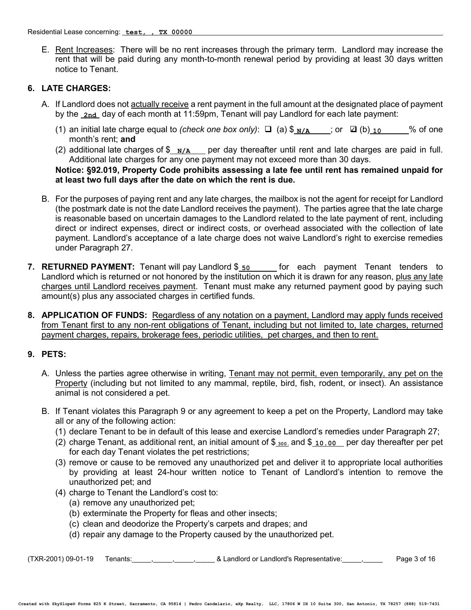E. Rent Increases: There will be no rent increases through the primary term. Landlord may increase the rent that will be paid during any month-to-month renewal period by providing at least 30 days written notice to Tenant.

#### **6. LATE CHARGES:**

- A. If Landlord does not actually receive a rent payment in the full amount at the designated place of payment by the <u>\_2nd\_</u> day of each month at 11:59pm, Tenant will pay Landlord for each late payment:
	- (1) an initial late charge equal to *(check one box only)*:  $\Box$  (a)  $\frac{\sqrt{A}}{N/A}$ ; or  $\Box$  (b) 10  $\Box$  % of one month's rent; **and**
	- (2) additional late charges of  $\frac{\mathcal{S}}{\mathcal{N}}$  per day thereafter until rent and late charges are paid in full. Additional late charges for any one payment may not exceed more than 30 days.

#### **Notice: §92.019, Property Code prohibits assessing a late fee until rent has remained unpaid for at least two full days after the date on which the rent is due.**

- B. For the purposes of paying rent and any late charges, the mailbox is not the agent for receipt for Landlord (the postmark date is not the date Landlord receives the payment). The parties agree that the late charge is reasonable based on uncertain damages to the Landlord related to the late payment of rent, including direct or indirect expenses, direct or indirect costs, or overhead associated with the collection of late payment. Landlord's acceptance of a late charge does not waive Landlord's right to exercise remedies under Paragraph 27.
- **7. RETURNED PAYMENT:** Tenant will pay Landlord \$<sub>\_50</sub> \_\_\_\_\_\_ for each payment Tenant tenders to Landlord which is returned or not honored by the institution on which it is drawn for any reason, plus any late charges until Landlord receives payment. Tenant must make any returned payment good by paying such amount(s) plus any associated charges in certified funds.
- **8. APPLICATION OF FUNDS:** Regardless of any notation on a payment, Landlord may apply funds received from Tenant first to any non-rent obligations of Tenant, including but not limited to, late charges, returned payment charges, repairs, brokerage fees, periodic utilities, pet charges, and then to rent.

## **9. PETS:**

- A. Unless the parties agree otherwise in writing, Tenant may not permit, even temporarily, any pet on the Property (including but not limited to any mammal, reptile, bird, fish, rodent, or insect). An assistance animal is not considered a pet.
- B. If Tenant violates this Paragraph 9 or any agreement to keep a pet on the Property, Landlord may take all or any of the following action:
	- (1) declare Tenant to be in default of this lease and exercise Landlord's remedies under Paragraph 27;
	- (2) charge Tenant, as additional rent, an initial amount of \$<sub>200</sub> and \$<sub>10.00</sub> per day thereafter per pet for each day Tenant violates the pet restrictions;
	- (3) remove or cause to be removed any unauthorized pet and deliver it to appropriate local authorities by providing at least 24-hour written notice to Tenant of Landlord's intention to remove the unauthorized pet; and
	- (4) charge to Tenant the Landlord's cost to:
		- (a) remove any unauthorized pet;
		- (b) exterminate the Property for fleas and other insects;
		- (c) clean and deodorize the Property's carpets and drapes; and
		- (d) repair any damage to the Property caused by the unauthorized pet.

 $(TXR-2001)$  09-01-19 Tenants:  $\frac{1}{2}$ ,  $\frac{1}{2}$ ,  $\frac{1}{2}$ ,  $\frac{1}{2}$  & Landlord or Landlord's Representative:  $\frac{1}{2}$ ,  $\frac{1}{2}$  Page 3 of 16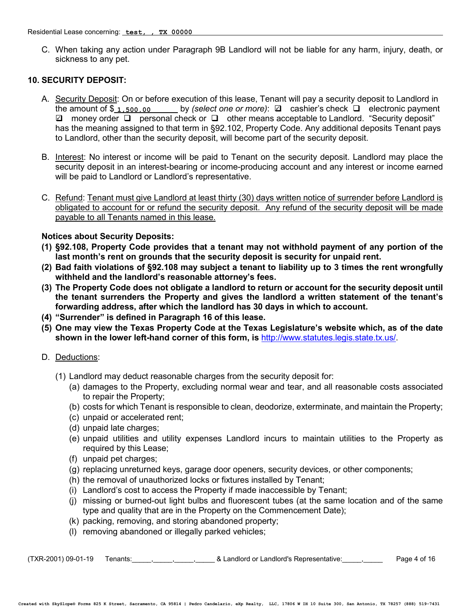C. When taking any action under Paragraph 9B Landlord will not be liable for any harm, injury, death, or sickness to any pet.

## **10. SECURITY DEPOSIT:**

- A. Security Deposit: On or before execution of this lease, Tenant will pay a security deposit to Landlord in the amount of \$<sub>1,500.00</sub> by *(select one or more)*:  **Q** cashier's check **Q** electronic payment  $\Box$  money order  $\Box$  personal check or  $\Box$  other means acceptable to Landlord. "Security deposit" has the meaning assigned to that term in §92.102, Property Code. Any additional deposits Tenant pays to Landlord, other than the security deposit, will become part of the security deposit.
- B. Interest: No interest or income will be paid to Tenant on the security deposit. Landlord may place the security deposit in an interest-bearing or income-producing account and any interest or income earned will be paid to Landlord or Landlord's representative.
- C. Refund: Tenant must give Landlord at least thirty (30) days written notice of surrender before Landlord is obligated to account for or refund the security deposit. Any refund of the security deposit will be made payable to all Tenants named in this lease.

## **Notices about Security Deposits:**

- **(1) §92.108, Property Code provides that a tenant may not withhold payment of any portion of the last month's rent on grounds that the security deposit is security for unpaid rent.**
- **(2) Bad faith violations of §92.108 may subject a tenant to liability up to 3 times the rent wrongfully withheld and the landlord's reasonable attorney's fees.**
- **(3) The Property Code does not obligate a landlord to return or account for the security deposit until the tenant surrenders the Property and gives the landlord a written statement of the tenant's forwarding address, after which the landlord has 30 days in which to account.**
- **(4) "Surrender" is defined in Paragraph 16 of this lease.**
- **(5) One may view the Texas Property Code at the Texas Legislature's website which, as of the date shown in the lower left-hand corner of this form, is** [http://www.statutes.legis.state.tx.us/.](http://www.statutes.legis.state.tx.us/)
- D. Deductions:
	- (1) Landlord may deduct reasonable charges from the security deposit for:
		- (a) damages to the Property, excluding normal wear and tear, and all reasonable costs associated to repair the Property;
		- (b) costs for which Tenant is responsible to clean, deodorize, exterminate, and maintain the Property;
		- (c) unpaid or accelerated rent;
		- (d) unpaid late charges;
		- (e) unpaid utilities and utility expenses Landlord incurs to maintain utilities to the Property as required by this Lease;
		- (f) unpaid pet charges;
		- (g) replacing unreturned keys, garage door openers, security devices, or other components;
		- (h) the removal of unauthorized locks or fixtures installed by Tenant;
		- (i) Landlord's cost to access the Property if made inaccessible by Tenant;
		- (j) missing or burned-out light bulbs and fluorescent tubes (at the same location and of the same type and quality that are in the Property on the Commencement Date);
		- (k) packing, removing, and storing abandoned property;
		- (l) removing abandoned or illegally parked vehicles;

(TXR-2001) 09-01-19 Tenants:\_\_\_\_\_,\_\_\_\_\_,\_\_\_\_\_,\_\_\_\_\_ & Landlord or Landlord's Representative:\_\_\_\_\_,\_\_\_\_\_ Page 4 of 16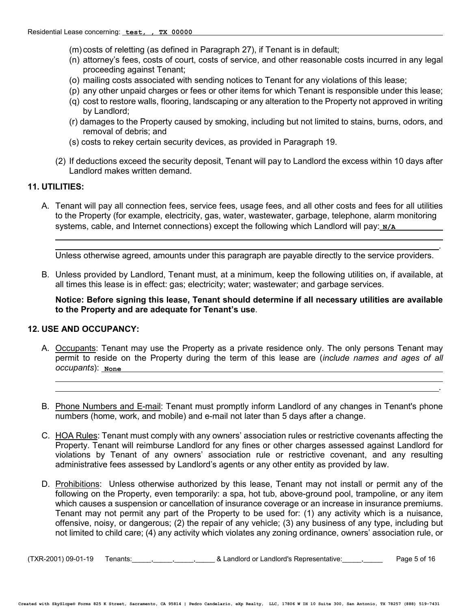- (m) costs of reletting (as defined in Paragraph 27), if Tenant is in default;
- (n) attorney's fees, costs of court, costs of service, and other reasonable costs incurred in any legal proceeding against Tenant;
- (o) mailing costs associated with sending notices to Tenant for any violations of this lease;
- (p) any other unpaid charges or fees or other items for which Tenant is responsible under this lease;
- (q) cost to restore walls, flooring, landscaping or any alteration to the Property not approved in writing by Landlord;
- (r) damages to the Property caused by smoking, including but not limited to stains, burns, odors, and removal of debris; and
- (s) costs to rekey certain security devices, as provided in Paragraph 19.
- (2) If deductions exceed the security deposit, Tenant will pay to Landlord the excess within 10 days after Landlord makes written demand.

#### **11. UTILITIES:**

A. Tenant will pay all connection fees, service fees, usage fees, and all other costs and fees for all utilities to the Property (for example, electricity, gas, water, wastewater, garbage, telephone, alarm monitoring systems, cable, and Internet connections) except the following which Landlord will pay:<sub>\_N/A</sub>

Unless otherwise agreed, amounts under this paragraph are payable directly to the service providers.

.

.

B. Unless provided by Landlord, Tenant must, at a minimum, keep the following utilities on, if available, at all times this lease is in effect: gas; electricity; water; wastewater; and garbage services.

**Notice: Before signing this lease, Tenant should determine if all necessary utilities are available to the Property and are adequate for Tenant's use**.

#### **12. USE AND OCCUPANCY:**

- A. Occupants: Tenant may use the Property as a private residence only. The only persons Tenant may permit to reside on the Property during the term of this lease are (*include names and ages of all occupants*): **None**
- B. Phone Numbers and E-mail: Tenant must promptly inform Landlord of any changes in Tenant's phone numbers (home, work, and mobile) and e-mail not later than 5 days after a change.
- C. HOA Rules: Tenant must comply with any owners' association rules or restrictive covenants affecting the Property. Tenant will reimburse Landlord for any fines or other charges assessed against Landlord for violations by Tenant of any owners' association rule or restrictive covenant, and any resulting administrative fees assessed by Landlord's agents or any other entity as provided by law.
- D. Prohibitions: Unless otherwise authorized by this lease, Tenant may not install or permit any of the following on the Property, even temporarily: a spa, hot tub, above-ground pool, trampoline, or any item which causes a suspension or cancellation of insurance coverage or an increase in insurance premiums. Tenant may not permit any part of the Property to be used for: (1) any activity which is a nuisance, offensive, noisy, or dangerous; (2) the repair of any vehicle; (3) any business of any type, including but not limited to child care; (4) any activity which violates any zoning ordinance, owners' association rule, or

(TXR-2001) 09-01-19 Tenants:\_\_\_\_\_,\_\_\_\_\_,\_\_\_\_\_,\_\_\_\_\_ & Landlord or Landlord's Representative:\_\_\_\_\_,\_\_\_\_\_ Page 5 of 16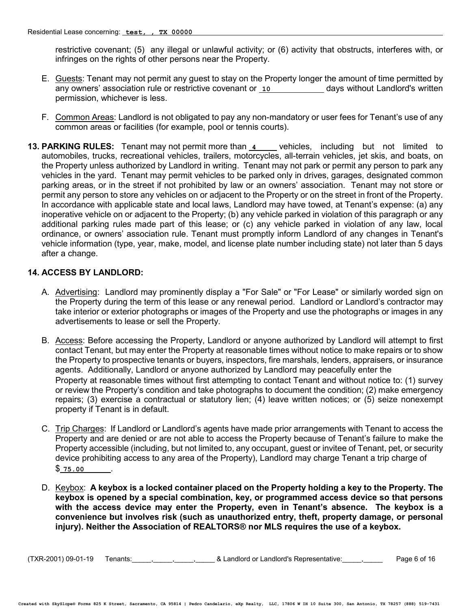restrictive covenant; (5) any illegal or unlawful activity; or (6) activity that obstructs, interferes with, or infringes on the rights of other persons near the Property.

- E. Guests: Tenant may not permit any guest to stay on the Property longer the amount of time permitted by any owners' association rule or restrictive covenant or <u>10 \_\_\_\_\_\_\_\_\_\_\_</u> days without Landlord's written permission, whichever is less.
- F. Common Areas: Landlord is not obligated to pay any non-mandatory or user fees for Tenant's use of any common areas or facilities (for example, pool or tennis courts).
- **13. PARKING RULES:** Tenant may not permit more than  $\frac{4}{1}$  vehicles, including but not limited to automobiles, trucks, recreational vehicles, trailers, motorcycles, all-terrain vehicles, jet skis, and boats, on the Property unless authorized by Landlord in writing. Tenant may not park or permit any person to park any vehicles in the yard. Tenant may permit vehicles to be parked only in drives, garages, designated common parking areas, or in the street if not prohibited by law or an owners' association. Tenant may not store or permit any person to store any vehicles on or adjacent to the Property or on the street in front of the Property. In accordance with applicable state and local laws, Landlord may have towed, at Tenant's expense: (a) any inoperative vehicle on or adjacent to the Property; (b) any vehicle parked in violation of this paragraph or any additional parking rules made part of this lease; or (c) any vehicle parked in violation of any law, local ordinance, or owners' association rule. Tenant must promptly inform Landlord of any changes in Tenant's vehicle information (type, year, make, model, and license plate number including state) not later than 5 days after a change.

## **14. ACCESS BY LANDLORD:**

- A. Advertising: Landlord may prominently display a "For Sale" or "For Lease" or similarly worded sign on the Property during the term of this lease or any renewal period. Landlord or Landlord's contractor may take interior or exterior photographs or images of the Property and use the photographs or images in any advertisements to lease or sell the Property.
- B. Access: Before accessing the Property, Landlord or anyone authorized by Landlord will attempt to first contact Tenant, but may enter the Property at reasonable times without notice to make repairs or to show the Property to prospective tenants or buyers, inspectors, fire marshals, lenders, appraisers, or insurance agents. Additionally, Landlord or anyone authorized by Landlord may peacefully enter the Property at reasonable times without first attempting to contact Tenant and without notice to: (1) survey or review the Property's condition and take photographs to document the condition; (2) make emergency repairs; (3) exercise a contractual or statutory lien; (4) leave written notices; or (5) seize nonexempt property if Tenant is in default.
- C. Trip Charges: If Landlord or Landlord's agents have made prior arrangements with Tenant to access the Property and are denied or are not able to access the Property because of Tenant's failure to make the Property accessible (including, but not limited to, any occupant, guest or invitee of Tenant, pet, or security device prohibiting access to any area of the Property), Landlord may charge Tenant a trip charge of \$ . **75.00**
- D. Keybox: **A keybox is a locked container placed on the Property holding a key to the Property. The keybox is opened by a special combination, key, or programmed access device so that persons with the access device may enter the Property, even in Tenant's absence. The keybox is a convenience but involves risk (such as unauthorized entry, theft, property damage, or personal injury). Neither the Association of REALTORS® nor MLS requires the use of a keybox.**

(TXR-2001) 09-01-19 Tenants:\_\_\_\_\_,\_\_\_\_\_,\_\_\_\_\_,\_\_\_\_\_ & Landlord or Landlord's Representative:\_\_\_\_\_,\_\_\_\_\_ Page 6 of 16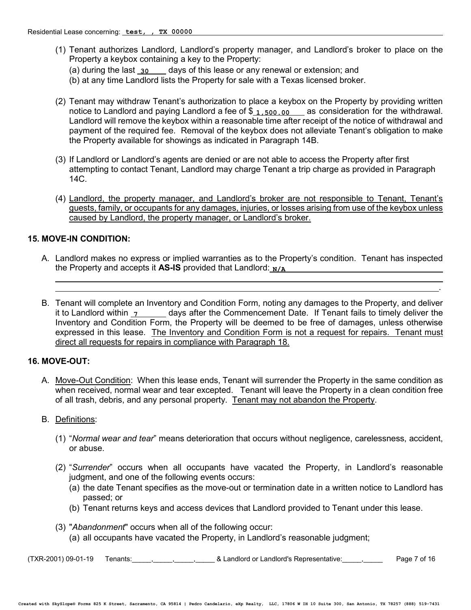- (1) Tenant authorizes Landlord, Landlord's property manager, and Landlord's broker to place on the Property a keybox containing a key to the Property: (a) during the last <sub>\_30</sub> \_\_\_\_ days of this lease or any renewal or extension; and
	- (b) at any time Landlord lists the Property for sale with a Texas licensed broker.
- (2) Tenant may withdraw Tenant's authorization to place a keybox on the Property by providing written notice to Landlord and paying Landlord a fee of \$ 1,500.00 Las consideration for the withdrawal. Landlord will remove the keybox within a reasonable time after receipt of the notice of withdrawal and payment of the required fee. Removal of the keybox does not alleviate Tenant's obligation to make the Property available for showings as indicated in Paragraph 14B.
- (3) If Landlord or Landlord's agents are denied or are not able to access the Property after first attempting to contact Tenant, Landlord may charge Tenant a trip charge as provided in Paragraph 14C.
- (4) Landlord, the property manager, and Landlord's broker are not responsible to Tenant, Tenant's guests, family, or occupants for any damages, injuries, or losses arising from use of the keybox unless caused by Landlord, the property manager, or Landlord's broker.

## **15. MOVE-IN CONDITION:**

A. Landlord makes no express or implied warranties as to the Property's condition. Tenant has inspected the Property and accepts it **AS-IS** provided that Landlord: **N/A**

.

B. Tenant will complete an Inventory and Condition Form, noting any damages to the Property, and deliver it to Landlord within  $\frac{1}{1}$  days after the Commencement Date. If Tenant fails to timely deliver the Inventory and Condition Form, the Property will be deemed to be free of damages, unless otherwise expressed in this lease. The Inventory and Condition Form is not a request for repairs. Tenant must direct all requests for repairs in compliance with Paragraph 18. **7**

#### **16. MOVE-OUT:**

A. Move-Out Condition: When this lease ends, Tenant will surrender the Property in the same condition as when received, normal wear and tear excepted. Tenant will leave the Property in a clean condition free of all trash, debris, and any personal property. Tenant may not abandon the Property.

#### B. Definitions:

- (1) "*Normal wear and tear*" means deterioration that occurs without negligence, carelessness, accident, or abuse.
- (2) "*Surrender*" occurs when all occupants have vacated the Property, in Landlord's reasonable judgment, and one of the following events occurs:
	- (a) the date Tenant specifies as the move-out or termination date in a written notice to Landlord has passed; or
	- (b) Tenant returns keys and access devices that Landlord provided to Tenant under this lease.
- (3) "*Abandonment*" occurs when all of the following occur:
	- (a) all occupants have vacated the Property, in Landlord's reasonable judgment;

(TXR-2001) 09-01-19 Tenants:\_\_\_\_\_,\_\_\_\_\_,\_\_\_\_\_,\_\_\_\_\_ & Landlord or Landlord's Representative:\_\_\_\_\_,\_\_\_\_\_ Page 7 of 16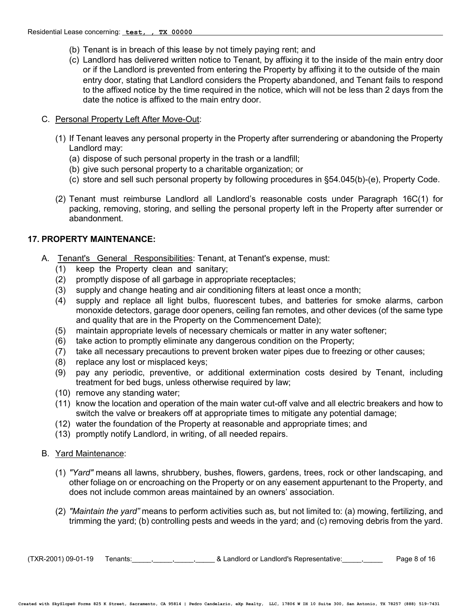- (b) Tenant is in breach of this lease by not timely paying rent; and
- (c) Landlord has delivered written notice to Tenant, by affixing it to the inside of the main entry door or if the Landlord is prevented from entering the Property by affixing it to the outside of the main entry door, stating that Landlord considers the Property abandoned, and Tenant fails to respond to the affixed notice by the time required in the notice, which will not be less than 2 days from the date the notice is affixed to the main entry door.

#### C. Personal Property Left After Move-Out:

- (1) If Tenant leaves any personal property in the Property after surrendering or abandoning the Property Landlord may:
	- (a) dispose of such personal property in the trash or a landfill;
	- (b) give such personal property to a charitable organization; or
	- (c) store and sell such personal property by following procedures in §54.045(b)-(e), Property Code.
- (2) Tenant must reimburse Landlord all Landlord's reasonable costs under Paragraph 16C(1) for packing, removing, storing, and selling the personal property left in the Property after surrender or abandonment.

# **17. PROPERTY MAINTENANCE:**

- A. Tenant's General Responsibilities: Tenant, at Tenant's expense, must:
	- (1) keep the Property clean and sanitary;
	- (2) promptly dispose of all garbage in appropriate receptacles;
	- (3) supply and change heating and air conditioning filters at least once a month;
	- (4) supply and replace all light bulbs, fluorescent tubes, and batteries for smoke alarms, carbon monoxide detectors, garage door openers, ceiling fan remotes, and other devices (of the same type and quality that are in the Property on the Commencement Date);
	- (5) maintain appropriate levels of necessary chemicals or matter in any water softener;
	- (6) take action to promptly eliminate any dangerous condition on the Property;
	- (7) take all necessary precautions to prevent broken water pipes due to freezing or other causes;
	- (8) replace any lost or misplaced keys;
	- (9) pay any periodic, preventive, or additional extermination costs desired by Tenant, including treatment for bed bugs, unless otherwise required by law;
	- (10) remove any standing water;
	- (11) know the location and operation of the main water cut-off valve and all electric breakers and how to switch the valve or breakers off at appropriate times to mitigate any potential damage;
	- (12) water the foundation of the Property at reasonable and appropriate times; and
	- (13) promptly notify Landlord, in writing, of all needed repairs.

## B. Yard Maintenance:

- (1) *"Yard"* means all lawns, shrubbery, bushes, flowers, gardens, trees, rock or other landscaping, and other foliage on or encroaching on the Property or on any easement appurtenant to the Property, and does not include common areas maintained by an owners' association.
- (2) *"Maintain the yard"* means to perform activities such as, but not limited to: (a) mowing, fertilizing, and trimming the yard; (b) controlling pests and weeds in the yard; and (c) removing debris from the yard.

 $(TXR-2001)$  09-01-19 Tenants:  $\frac{1}{2}$ ,  $\frac{1}{2}$ ,  $\frac{1}{2}$ ,  $\frac{1}{2}$  & Landlord or Landlord's Representative:  $\frac{1}{2}$ ,  $\frac{1}{2}$  Page 8 of 16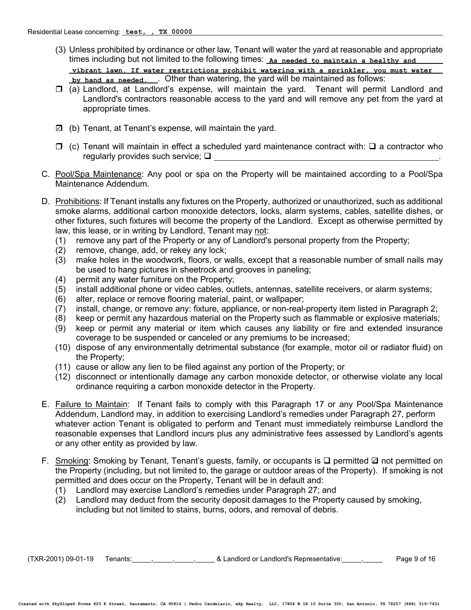- (3) Unless prohibited by ordinance or other law, Tenant will water the yard at reasonable and appropriate times including but not limited to the following times: **As needed to maintain a healthy and** <u>by hand as needed.\_\_\_</u>. Other than watering, the yard will be maintained as follows: **vibrant lawn. If water restrictions prohibit watering with a sprinkler, you must water**
- $\Box$  (a) Landlord, at Landlord's expense, will maintain the yard. Tenant will permit Landlord and Landlord's contractors reasonable access to the yard and will remove any pet from the yard at appropriate times.
- (b) Tenant, at Tenant's expense, will maintain the yard. 3
- $\Box$  (c) Tenant will maintain in effect a scheduled yard maintenance contract with:  $\Box$  a contractor who regularly provides such service;  $\Box$
- C. Pool/Spa Maintenance: Any pool or spa on the Property will be maintained according to a Pool/Spa Maintenance Addendum.
- D. Prohibitions: If Tenant installs any fixtures on the Property, authorized or unauthorized, such as additional smoke alarms, additional carbon monoxide detectors, locks, alarm systems, cables, satellite dishes, or other fixtures, such fixtures will become the property of the Landlord. Except as otherwise permitted by law, this lease, or in writing by Landlord, Tenant may not:
	- (1) remove any part of the Property or any of Landlord's personal property from the Property;
	- (2) remove, change, add, or rekey any lock;
	- (3) make holes in the woodwork, floors, or walls, except that a reasonable number of small nails may be used to hang pictures in sheetrock and grooves in paneling;
	- (4) permit any water furniture on the Property;
	- (5) install additional phone or video cables, outlets, antennas, satellite receivers, or alarm systems;
	- (6) alter, replace or remove flooring material, paint, or wallpaper;
	- (7) install, change, or remove any: fixture, appliance, or non-real-property item listed in Paragraph 2;
	- (8) keep or permit any hazardous material on the Property such as flammable or explosive materials;
	- (9) keep or permit any material or item which causes any liability or fire and extended insurance coverage to be suspended or canceled or any premiums to be increased;
	- (10) dispose of any environmentally detrimental substance (for example, motor oil or radiator fluid) on the Property;
	- (11) cause or allow any lien to be filed against any portion of the Property; or
	- (12) disconnect or intentionally damage any carbon monoxide detector, or otherwise violate any local ordinance requiring a carbon monoxide detector in the Property.
- E. Failure to Maintain: If Tenant fails to comply with this Paragraph 17 or any Pool/Spa Maintenance Addendum, Landlord may, in addition to exercising Landlord's remedies under Paragraph 27, perform whatever action Tenant is obligated to perform and Tenant must immediately reimburse Landlord the reasonable expenses that Landlord incurs plus any administrative fees assessed by Landlord's agents or any other entity as provided by law.
- F. Smoking: Smoking by Tenant, Tenant's guests, family, or occupants is Q permitted 2 not permitted on the Property (including, but not limited to, the garage or outdoor areas of the Property). If smoking is not permitted and does occur on the Property, Tenant will be in default and:
	- (1) Landlord may exercise Landlord's remedies under Paragraph 27; and
	- (2) Landlord may deduct from the security deposit damages to the Property caused by smoking, including but not limited to stains, burns, odors, and removal of debris.

(TXR-2001) 09-01-19 Tenants:\_\_\_\_\_,\_\_\_\_\_,\_\_\_\_\_,\_\_\_\_\_ & Landlord or Landlord's Representative:\_\_\_\_\_,\_\_\_\_\_ Page 9 of 16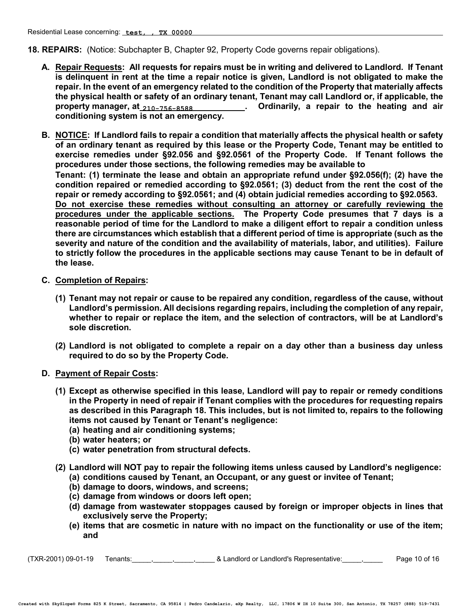**18. REPAIRS:** (Notice: Subchapter B, Chapter 92, Property Code governs repair obligations).

- **A. Repair Requests: All requests for repairs must be in writing and delivered to Landlord. If Tenant is delinquent in rent at the time a repair notice is given, Landlord is not obligated to make the repair. In the event of an emergency related to the condition of the Property that materially affects the physical health or safety of an ordinary tenant, Tenant may call Landlord or, if applicable, the**  property manager, at<sub>\_210–756–8588</sub>\_\_\_\_\_\_\_\_\_\_\_. Ordinarily, a repair to the heating and air **conditioning system is not an emergency.**
- **B. NOTICE: If Landlord fails to repair a condition that materially affects the physical health or safety of an ordinary tenant as required by this lease or the Property Code, Tenant may be entitled to exercise remedies under §92.056 and §92.0561 of the Property Code. If Tenant follows the procedures under those sections, the following remedies may be available to Tenant: (1) terminate the lease and obtain an appropriate refund under §92.056(f); (2) have the condition repaired or remedied according to §92.0561; (3) deduct from the rent the cost of the repair or remedy according to §92.0561; and (4) obtain judicial remedies according to §92.0563. Do not exercise these remedies without consulting an attorney or carefully reviewing the procedures under the applicable sections. The Property Code presumes that 7 days is a reasonable period of time for the Landlord to make a diligent effort to repair a condition unless there are circumstances which establish that a different period of time is appropriate (such as the severity and nature of the condition and the availability of materials, labor, and utilities). Failure to strictly follow the procedures in the applicable sections may cause Tenant to be in default of the lease.**
- **C. Completion of Repairs:** 
	- **(1) Tenant may not repair or cause to be repaired any condition, regardless of the cause, without Landlord's permission. All decisions regarding repairs, including the completion of any repair, whether to repair or replace the item, and the selection of contractors, will be at Landlord's sole discretion.**
	- **(2) Landlord is not obligated to complete a repair on a day other than a business day unless required to do so by the Property Code.**
- **D. Payment of Repair Costs:** 
	- **(1) Except as otherwise specified in this lease, Landlord will pay to repair or remedy conditions in the Property in need of repair if Tenant complies with the procedures for requesting repairs as described in this Paragraph 18. This includes, but is not limited to, repairs to the following items not caused by Tenant or Tenant's negligence:** 
		- **(a) heating and air conditioning systems;**
		- **(b) water heaters; or**
		- **(c) water penetration from structural defects.**
	- **(2) Landlord will NOT pay to repair the following items unless caused by Landlord's negligence:**
		- **(a) conditions caused by Tenant, an Occupant, or any guest or invitee of Tenant;**
		- **(b) damage to doors, windows, and screens;**
		- **(c) damage from windows or doors left open;**
		- **(d) damage from wastewater stoppages caused by foreign or improper objects in lines that exclusively serve the Property;**
		- **(e) items that are cosmetic in nature with no impact on the functionality or use of the item; and**

 $(TXR-2001)$  09-01-19 Tenants:  $\frac{1}{2}$ ,  $\frac{1}{2}$ ,  $\frac{1}{2}$  & Landlord or Landlord's Representative:  $\frac{1}{2}$  Page 10 of 16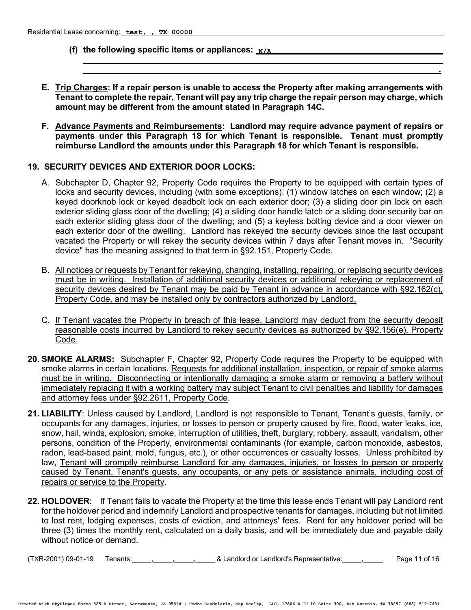- **(f) the following specific items or appliances: N/A**
- **E. Trip Charges: If a repair person is unable to access the Property after making arrangements with Tenant to complete the repair, Tenant will pay any trip charge the repair person may charge, which amount may be different from the amount stated in Paragraph 14C.**

 **.**

**F. Advance Payments and Reimbursements: Landlord may require advance payment of repairs or payments under this Paragraph 18 for which Tenant is responsible. Tenant must promptly reimburse Landlord the amounts under this Paragraph 18 for which Tenant is responsible.**

#### **19. SECURITY DEVICES AND EXTERIOR DOOR LOCKS:**

- A. Subchapter D, Chapter 92, Property Code requires the Property to be equipped with certain types of locks and security devices, including (with some exceptions): (1) window latches on each window; (2) a keyed doorknob lock or keyed deadbolt lock on each exterior door; (3) a sliding door pin lock on each exterior sliding glass door of the dwelling; (4) a sliding door handle latch or a sliding door security bar on each exterior sliding glass door of the dwelling; and (5) a keyless bolting device and a door viewer on each exterior door of the dwelling. Landlord has rekeyed the security devices since the last occupant vacated the Property or will rekey the security devices within 7 days after Tenant moves in. "Security device" has the meaning assigned to that term in §92.151, Property Code.
- B. All notices or requests by Tenant for rekeying, changing, installing, repairing, or replacing security devices must be in writing. Installation of additional security devices or additional rekeying or replacement of security devices desired by Tenant may be paid by Tenant in advance in accordance with §92.162(c), Property Code, and may be installed only by contractors authorized by Landlord.
- C. If Tenant vacates the Property in breach of this lease, Landlord may deduct from the security deposit reasonable costs incurred by Landlord to rekey security devices as authorized by §92.156(e), Property Code.
- **20. SMOKE ALARMS:** Subchapter F, Chapter 92, Property Code requires the Property to be equipped with smoke alarms in certain locations. Requests for additional installation, inspection, or repair of smoke alarms must be in writing.Disconnecting or intentionally damaging a smoke alarm or removing a battery without immediately replacing it with a working battery may subject Tenant to civil penalties and liability for damages and attorney fees under §92.2611, Property Code.
- **21. LIABILITY**: Unless caused by Landlord, Landlord is not responsible to Tenant, Tenant's guests, family, or occupants for any damages, injuries, or losses to person or property caused by fire, flood, water leaks, ice, snow, hail, winds, explosion, smoke, interruption of utilities, theft, burglary, robbery, assault, vandalism, other persons, condition of the Property, environmental contaminants (for example, carbon monoxide, asbestos, radon, lead-based paint, mold, fungus, etc.), or other occurrences or casualty losses. Unless prohibited by law, Tenant will promptly reimburse Landlord for any damages, injuries, or losses to person or property caused by Tenant, Tenant's guests, any occupants, or any pets or assistance animals, including cost of repairs or service to the Property.
- **22. HOLDOVER**: If Tenant fails to vacate the Property at the time this lease ends Tenant will pay Landlord rent for the holdover period and indemnify Landlord and prospective tenants for damages, including but not limited to lost rent, lodging expenses, costs of eviction, and attorneys' fees. Rent for any holdover period will be three (3) times the monthly rent, calculated on a daily basis, and will be immediately due and payable daily without notice or demand.

(TXR-2001) 09-01-19 Tenants:\_\_\_\_\_,\_\_\_\_\_,\_\_\_\_\_,\_\_\_\_\_ & Landlord or Landlord's Representative:\_\_\_\_\_,\_\_\_\_\_ Page 11 of 16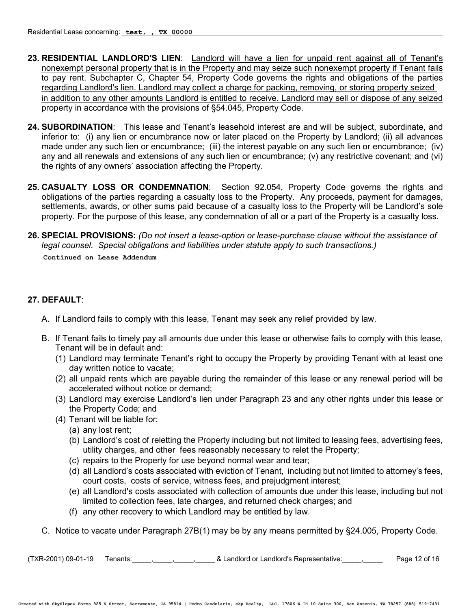- **23. RESIDENTIAL LANDLORD'S LIEN**: Landlord will have a lien for unpaid rent against all of Tenant's nonexempt personal property that is in the Property and may seize such nonexempt property if Tenant fails to pay rent. Subchapter C, Chapter 54, Property Code governs the rights and obligations of the parties regarding Landlord's lien. Landlord may collect a charge for packing, removing, or storing property seized in addition to any other amounts Landlord is entitled to receive. Landlord may sell or dispose of any seized property in accordance with the provisions of §54.045, Property Code.
- **24. SUBORDINATION**: This lease and Tenant's leasehold interest are and will be subject, subordinate, and inferior to: (i) any lien or encumbrance now or later placed on the Property by Landlord; (ii) all advances made under any such lien or encumbrance; (iii) the interest payable on any such lien or encumbrance; (iv) any and all renewals and extensions of any such lien or encumbrance; (v) any restrictive covenant; and (vi) the rights of any owners' association affecting the Property.
- **25. CASUALTY LOSS OR CONDEMNATION**: Section 92.054, Property Code governs the rights and obligations of the parties regarding a casualty loss to the Property. Any proceeds, payment for damages, settlements, awards, or other sums paid because of a casualty loss to the Property will be Landlord's sole property. For the purpose of this lease, any condemnation of all or a part of the Property is a casualty loss.
- **26. SPECIAL PROVISIONS:** *(Do not insert a lease-option or lease-purchase clause without the assistance of legal counsel. Special obligations and liabilities under statute apply to such transactions.)*

**Continued on Lease Addendum**

# **27. DEFAULT**:

- A. If Landlord fails to comply with this lease, Tenant may seek any relief provided by law.
- B. If Tenant fails to timely pay all amounts due under this lease or otherwise fails to comply with this lease, Tenant will be in default and:
	- (1) Landlord may terminate Tenant's right to occupy the Property by providing Tenant with at least one day written notice to vacate;
	- (2) all unpaid rents which are payable during the remainder of this lease or any renewal period will be accelerated without notice or demand;
	- (3) Landlord may exercise Landlord's lien under Paragraph 23 and any other rights under this lease or the Property Code; and
	- (4) Tenant will be liable for:
		- (a) any lost rent;
		- (b) Landlord's cost of reletting the Property including but not limited to leasing fees, advertising fees, utility charges, and other fees reasonably necessary to relet the Property;
		- (c) repairs to the Property for use beyond normal wear and tear;
		- (d) all Landlord's costs associated with eviction of Tenant, including but not limited to attorney's fees, court costs, costs of service, witness fees, and prejudgment interest;
		- (e) all Landlord's costs associated with collection of amounts due under this lease, including but not limited to collection fees, late charges, and returned check charges; and
		- (f) any other recovery to which Landlord may be entitled by law.
- C. Notice to vacate under Paragraph 27B(1) may be by any means permitted by §24.005, Property Code.

 $(TXR-2001)$  09-01-19 Tenants:  $\frac{1}{2}$ ,  $\frac{1}{2}$ ,  $\frac{1}{2}$  & Landlord or Landlord's Representative:  $\frac{1}{2}$  Page 12 of 16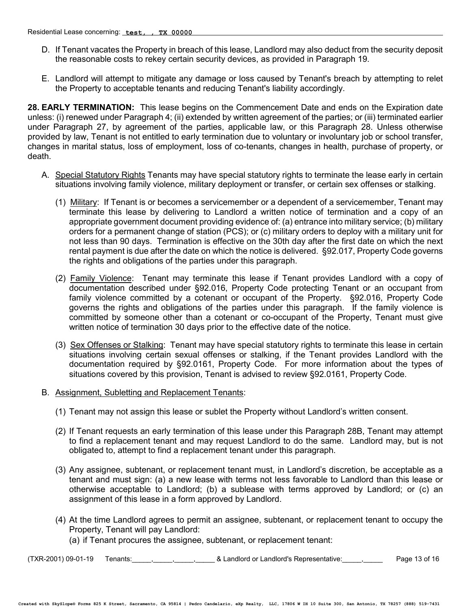- D. If Tenant vacates the Property in breach of this lease, Landlord may also deduct from the security deposit the reasonable costs to rekey certain security devices, as provided in Paragraph 19.
- E. Landlord will attempt to mitigate any damage or loss caused by Tenant's breach by attempting to relet the Property to acceptable tenants and reducing Tenant's liability accordingly.

**28. EARLY TERMINATION:** This lease begins on the Commencement Date and ends on the Expiration date unless: (i) renewed under Paragraph 4; (ii) extended by written agreement of the parties; or (iii) terminated earlier under Paragraph 27, by agreement of the parties, applicable law, or this Paragraph 28. Unless otherwise provided by law, Tenant is not entitled to early termination due to voluntary or involuntary job or school transfer, changes in marital status, loss of employment, loss of co-tenants, changes in health, purchase of property, or death.

- A. Special Statutory Rights Tenants may have special statutory rights to terminate the lease early in certain situations involving family violence, military deployment or transfer, or certain sex offenses or stalking.
	- (1) Military: If Tenant is or becomes a servicemember or a dependent of a servicemember, Tenant may terminate this lease by delivering to Landlord a written notice of termination and a copy of an appropriate government document providing evidence of: (a) entrance into military service; (b) military orders for a permanent change of station (PCS); or (c) military orders to deploy with a military unit for not less than 90 days. Termination is effective on the 30th day after the first date on which the next rental payment is due after the date on which the notice is delivered. §92.017, Property Code governs the rights and obligations of the parties under this paragraph.
	- (2) Family Violence: Tenant may terminate this lease if Tenant provides Landlord with a copy of documentation described under §92.016, Property Code protecting Tenant or an occupant from family violence committed by a cotenant or occupant of the Property. §92.016, Property Code governs the rights and obligations of the parties under this paragraph. If the family violence is committed by someone other than a cotenant or co-occupant of the Property, Tenant must give written notice of termination 30 days prior to the effective date of the notice.
	- (3) Sex Offenses or Stalking: Tenant may have special statutory rights to terminate this lease in certain situations involving certain sexual offenses or stalking, if the Tenant provides Landlord with the documentation required by §92.0161, Property Code. For more information about the types of situations covered by this provision, Tenant is advised to review §92.0161, Property Code.
- B. Assignment, Subletting and Replacement Tenants:
	- (1) Tenant may not assign this lease or sublet the Property without Landlord's written consent.
	- (2) If Tenant requests an early termination of this lease under this Paragraph 28B, Tenant may attempt to find a replacement tenant and may request Landlord to do the same. Landlord may, but is not obligated to, attempt to find a replacement tenant under this paragraph.
	- (3) Any assignee, subtenant, or replacement tenant must, in Landlord's discretion, be acceptable as a tenant and must sign: (a) a new lease with terms not less favorable to Landlord than this lease or otherwise acceptable to Landlord; (b) a sublease with terms approved by Landlord; or (c) an assignment of this lease in a form approved by Landlord.
	- (4) At the time Landlord agrees to permit an assignee, subtenant, or replacement tenant to occupy the Property, Tenant will pay Landlord:
		- (a) if Tenant procures the assignee, subtenant, or replacement tenant:

(TXR-2001) 09-01-19 Tenants:\_\_\_\_\_,\_\_\_\_\_,\_\_\_\_\_,\_\_\_\_\_ & Landlord or Landlord's Representative:\_\_\_\_\_,\_\_\_\_\_ Page 13 of 16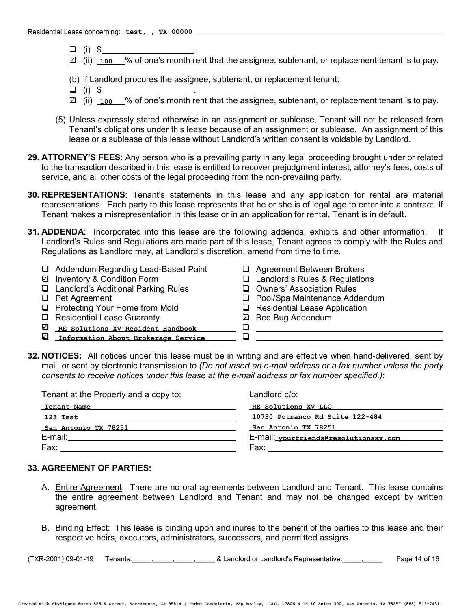- $\Box$  (i) \$
- **☑** (ii) <u>100</u> % of one's month rent that the assignee, subtenant, or replacement tenant is to pay.
- (b) if Landlord procures the assignee, subtenant, or replacement tenant:
- $\Box$  (i) \$
- **2** (ii) <u>100</u> % of one's month rent that the assignee, subtenant, or replacement tenant is to pay.
- (5) Unless expressly stated otherwise in an assignment or sublease, Tenant will not be released from Tenant's obligations under this lease because of an assignment or sublease. An assignment of this lease or a sublease of this lease without Landlord's written consent is voidable by Landlord.
- **29. ATTORNEY'S FEES**: Any person who is a prevailing party in any legal proceeding brought under or related to the transaction described in this lease is entitled to recover prejudgment interest, attorney's fees, costs of service, and all other costs of the legal proceeding from the non-prevailing party.
- **30. REPRESENTATIONS**: Tenant's statements in this lease and any application for rental are material representations. Each party to this lease represents that he or she is of legal age to enter into a contract. If Tenant makes a misrepresentation in this lease or in an application for rental, Tenant is in default.
- **31. ADDENDA**: Incorporated into this lease are the following addenda, exhibits and other information. If Landlord's Rules and Regulations are made part of this lease, Tenant agrees to comply with the Rules and Regulations as Landlord may, at Landlord's discretion, amend from time to time.
	- $\Box$  Addendum Regarding Lead-Based Paint  $\Box$  Agreement Between Brokers
	- □ Inventory & Condition Form
	- **Q** Landlord's Additional Parking Rules **Q** Owners' Association Rules<br> **Q** Pool/Spa Maintenance Add
	-
	- □ Protecting Your Home from Mold □ Residential Lease Application
	-
	- $\begin{array}{ll}\n\Box & \text{Residential Least Quarterly} \\
	\hline\n\end{array}$ <sup>3</sup> **RE Solutions XV Resident Handbook**
	- <sup>3</sup> **Information About Brokerage Service**
- 
- $\Box$  Landlord's Rules & Regulations
	-
- **Q** Pool/Spa Maintenance Addendum

- 
- **2** Bed Bug Addendum
- **32. NOTICES:** All notices under this lease must be in writing and are effective when hand-delivered, sent by mail, or sent by electronic transmission to *(Do not insert an e-mail address or a fax number unless the party consents to receive notices under this lease at the e-mail address or fax number specified.)*:

| Landlord c/o:                         |  |
|---------------------------------------|--|
| RE Solutions XV LLC                   |  |
| 10730 Potranco Rd Suite 122-484       |  |
| San Antonio TX 78251                  |  |
| E-mail: vourfriends@resolutionsxv.com |  |
| Fax:                                  |  |
|                                       |  |

#### **33. AGREEMENT OF PARTIES:**

- A. Entire Agreement: There are no oral agreements between Landlord and Tenant. This lease contains the entire agreement between Landlord and Tenant and may not be changed except by written agreement.
- B. Binding Effect: This lease is binding upon and inures to the benefit of the parties to this lease and their respective heirs, executors, administrators, successors, and permitted assigns.

(TXR-2001) 09-01-19 Tenants:\_\_\_\_\_,\_\_\_\_\_,\_\_\_\_\_,\_\_\_\_\_ & Landlord or Landlord's Representative:\_\_\_\_\_,\_\_\_\_\_ Page 14 of 16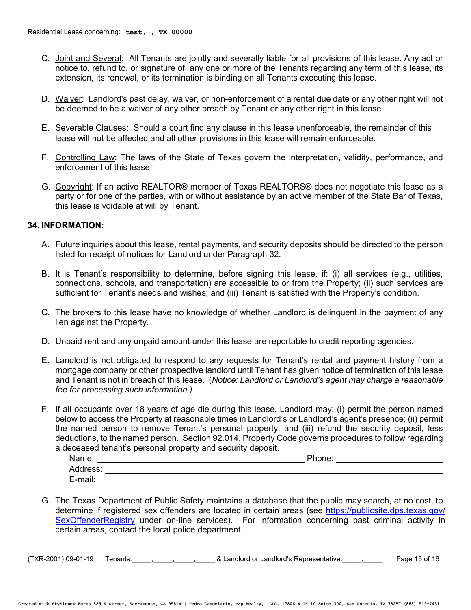- C. Joint and Several: All Tenants are jointly and severally liable for all provisions of this lease. Any act or notice to, refund to, or signature of, any one or more of the Tenants regarding any term of this lease, its extension, its renewal, or its termination is binding on all Tenants executing this lease.
- D. Waiver: Landlord's past delay, waiver, or non-enforcement of a rental due date or any other right will not be deemed to be a waiver of any other breach by Tenant or any other right in this lease.
- E. Severable Clauses: Should a court find any clause in this lease unenforceable, the remainder of this lease will not be affected and all other provisions in this lease will remain enforceable.
- F. Controlling Law: The laws of the State of Texas govern the interpretation, validity, performance, and enforcement of this lease.
- G. Copyright: If an active REALTOR® member of Texas REALTORS® does not negotiate this lease as a party or for one of the parties, with or without assistance by an active member of the State Bar of Texas, this lease is voidable at will by Tenant.

#### **34. INFORMATION:**

- A. Future inquiries about this lease, rental payments, and security deposits should be directed to the person listed for receipt of notices for Landlord under Paragraph 32.
- B. It is Tenant's responsibility to determine, before signing this lease, if: (i) all services (e.g., utilities, connections, schools, and transportation) are accessible to or from the Property; (ii) such services are sufficient for Tenant's needs and wishes; and (iii) Tenant is satisfied with the Property's condition.
- C. The brokers to this lease have no knowledge of whether Landlord is delinquent in the payment of any lien against the Property.
- D. Unpaid rent and any unpaid amount under this lease are reportable to credit reporting agencies.
- E. Landlord is not obligated to respond to any requests for Tenant's rental and payment history from a mortgage company or other prospective landlord until Tenant has given notice of termination of this lease and Tenant is not in breach of this lease. (*Notice: Landlord or Landlord's agent may charge a reasonable fee for processing such information.)*
- F. If all occupants over 18 years of age die during this lease, Landlord may: (i) permit the person named below to access the Property at reasonable times in Landlord's or Landlord's agent's presence; (ii) permit the named person to remove Tenant's personal property; and (iii) refund the security deposit, less deductions, to the named person. Section 92.014, Property Code governs procedures to follow regarding a deceased tenant's personal property and security deposit.

| Name:    | Phone: |
|----------|--------|
| Address: |        |
| E-mail:  |        |

G. The Texas Department of Public Safety maintains a database that the public may search, at no cost, to determine if registered sex offenders are located in certain areas (see https://publicsite.dps.texas.gov/ SexOffenderRegistry under on-line services). For information concerning past criminal activity in certain areas, contact the local police department.

 $(TXR-2001)$  09-01-19 Tenants:  $\frac{1}{2}$ ,  $\frac{1}{2}$ ,  $\frac{1}{2}$  & Landlord or Landlord's Representative:  $\frac{1}{2}$  Page 15 of 16